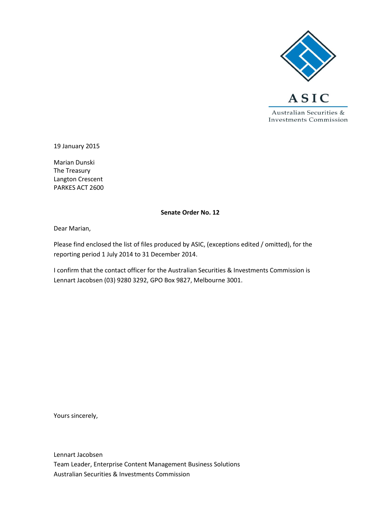

19 January 2015

Marian Dunski The Treasury Langton Crescent PARKES ACT 2600

#### **Senate Order No. 12**

Dear Marian,

Please find enclosed the list of files produced by ASIC, (exceptions edited / omitted), for the reporting period 1 July 2014 to 31 December 2014.

I confirm that the contact officer for the Australian Securities & Investments Commission is Lennart Jacobsen (03) 9280 3292, GPO Box 9827, Melbourne 3001.

Yours sincerely,

Lennart Jacobsen Team Leader, Enterprise Content Management Business Solutions Australian Securities & Investments Commission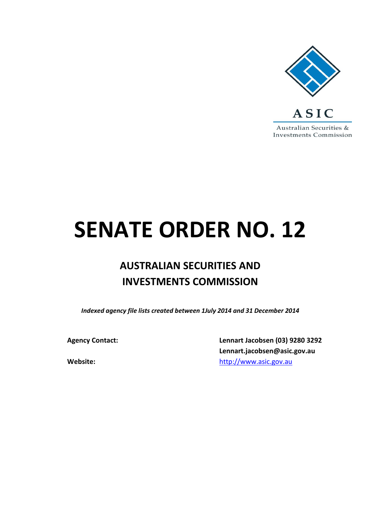

# **SENATE ORDER NO. 12**

## **AUSTRALIAN SECURITIES AND INVESTMENTS COMMISSION**

*Indexed agency file lists created between 1July 2014 and 31 December 2014*

**Agency Contact: Lennart Jacobsen (03) 9280 3292 Lennart.jacobsen@asic.gov.au Website: Website: [http://www.asic.gov.au](http://www.asic.gov.au/)**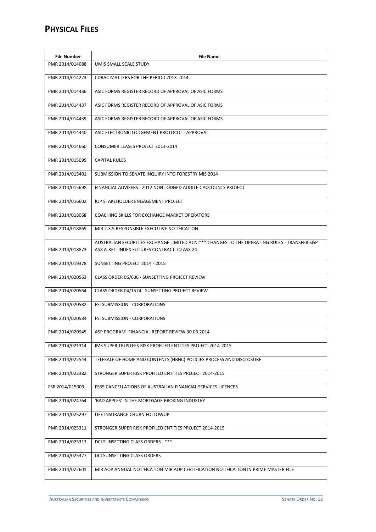#### **PHYSICAL FILES**

| <b>File Number</b> | <b>File Name</b>                                                                                                                             |  |
|--------------------|----------------------------------------------------------------------------------------------------------------------------------------------|--|
| PMR 2014/014088    | UMIS SMALL SCALE STUDY                                                                                                                       |  |
| PMR 2014/014223    | CDRAC MATTERS FOR THE PERIOD 2013-2014.                                                                                                      |  |
| PMR 2014/014436    | ASIC FORMS REGISTER RECORD OF APPROVAL OF ASIC FORMS                                                                                         |  |
| PMR 2014/014437    | ASIC FORMS REGISTER RECORD OF APPROVAL OF ASIC FORMS                                                                                         |  |
| PMR 2014/014439    | ASIC FORMS REGISTER RECORD OF APPROVAL OF ASIC FORMS                                                                                         |  |
| PMR 2014/014440    | ASIC ELECTRONIC LODGEMENT PROTOCOL - APPROVAL                                                                                                |  |
| PMR 2014/014660    | CONSUMER LEASES PROJECT 2013-2014                                                                                                            |  |
| PMR 2014/015095    | <b>CAPITAL RULES</b>                                                                                                                         |  |
| PMR 2014/015401    | SUBMISSION TO SENATE INQUIRY INTO FORESTRY MIS 2014                                                                                          |  |
| PMR 2014/015698    | FINANCIAL ADVISERS - 2012 NON LODGED AUDITED ACCOUNTS PROJECT                                                                                |  |
| PMR 2014/016602    | IOP STAKEHOLDER ENGAGEMENT PROJECT                                                                                                           |  |
| PMR 2014/018068    | COACHING SKILLS FOR EXCHANGE MARKET OPERATORS                                                                                                |  |
| PMR 2014/018869    | MIR 2.3.5 RESPONSIBLE EXECUTIVE NOTIFICATION                                                                                                 |  |
| PMR 2014/018873    | AUSTRALIAN SECURITIES EXCHANGE LIMITED ACN: *** CHANGES TO THE OPERATING RULES - TRANSFER S&P<br>ASX A-REIT INDEX FUTURES CONTRACT TO ASX 24 |  |
| PMR 2014/019378    | SUNSETTING PROJECT 2014 - 2015                                                                                                               |  |
|                    |                                                                                                                                              |  |
| PMR 2014/020563    | CLASS ORDER 06/636 - SUNSETTING PROJECT REVIEW                                                                                               |  |
| PMR 2014/020564    | CLASS ORDER 04/1574 - SUNSETTING PROJECT REVIEW                                                                                              |  |
| PMR 2014/020582    | <b>FSI SUBMISSION - CORPORATIONS</b>                                                                                                         |  |
| PMR 2014/020584    | <b>FSI SUBMISSION - CORPORATIONS</b>                                                                                                         |  |
| PMR 2014/020945    | ASP PROGRAM- FINANCIAL REPORT REVIEW 30.06.2014                                                                                              |  |
| PMR 2014/021314    | IMS SUPER TRUSTEES RISK PROFILED ENTITIES PROJECT 2014-2015                                                                                  |  |
| PMR 2014/022544    | TELESALE OF HOME AND CONTENTS (HBHC) POLICIES PROCESS AND DISCLOSURE                                                                         |  |
| PMR 2014/023382    | STRONGER SUPER RISK PROFILED ENTITIES PROJECT 2014-2015                                                                                      |  |
| FSR 2014/015003    | FS65 CANCELLATIONS OF AUSTRALIAN FINANCIAL SERVICES LICENCES                                                                                 |  |
| PMR 2014/024764    | 'BAD APPLES' IN THE MORTGAGE BROKING INDUSTRY                                                                                                |  |
| PMR 2014/025297    | LIFE INSURANCE CHURN FOLLOWUP                                                                                                                |  |
| PMR 2014/025311    | STRONGER SUPER RISK PROFILED ENTITIES PROJECT 2014-2015                                                                                      |  |
| PMR 2014/025313    | DCI SUNSETTING CLASS ORDERS - ***                                                                                                            |  |
| PMR 2014/025377    | DCI SUNSETTING CLASS ORDERS                                                                                                                  |  |
| PMR 2014/022601    | MIR AOP ANNUAL NOTIFICATION MIR AOP CERTIFICATION NOTIFICATION IN PRIME MASTER FILE                                                          |  |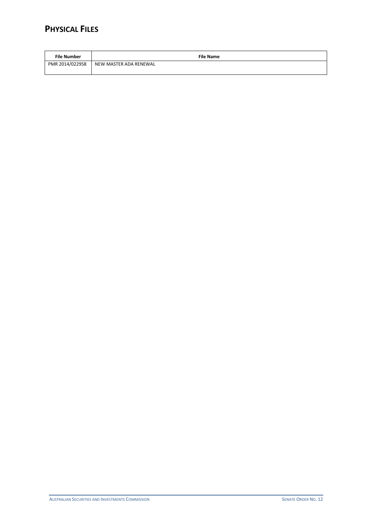#### **PHYSICAL FILES**

| <b>File Number</b> | <b>File Name</b>       |
|--------------------|------------------------|
| PMR 2014/022958    | NEW MASTER ADA RENEWAL |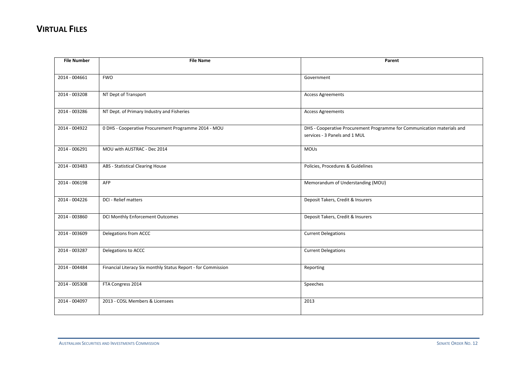| <b>File Number</b> | <b>File Name</b>                                              | Parent                                                                  |
|--------------------|---------------------------------------------------------------|-------------------------------------------------------------------------|
|                    |                                                               |                                                                         |
| 2014 - 004661      | <b>FWO</b>                                                    | Government                                                              |
|                    |                                                               |                                                                         |
| 2014 - 003208      | NT Dept of Transport                                          | <b>Access Agreements</b>                                                |
|                    |                                                               |                                                                         |
| 2014 - 003286      | NT Dept. of Primary Industry and Fisheries                    | <b>Access Agreements</b>                                                |
| 2014 - 004922      | 0 DHS - Cooperative Procurement Programme 2014 - MOU          | DHS - Cooperative Procurement Programme for Communication materials and |
|                    |                                                               | services - 3 Panels and 1 MUL                                           |
|                    |                                                               |                                                                         |
| 2014 - 006291      | MOU with AUSTRAC - Dec 2014                                   | <b>MOUs</b>                                                             |
| 2014 - 003483      | ABS - Statistical Clearing House                              | Policies, Procedures & Guidelines                                       |
|                    |                                                               |                                                                         |
| 2014 - 006198      | AFP                                                           | Memorandum of Understanding (MOU)                                       |
|                    |                                                               |                                                                         |
| 2014 - 004226      | DCI - Relief matters                                          | Deposit Takers, Credit & Insurers                                       |
|                    |                                                               |                                                                         |
| 2014 - 003860      | DCI Monthly Enforcement Outcomes                              | Deposit Takers, Credit & Insurers                                       |
|                    |                                                               |                                                                         |
| 2014 - 003609      | Delegations from ACCC                                         | <b>Current Delegations</b>                                              |
| 2014 - 003287      | Delegations to ACCC                                           | <b>Current Delegations</b>                                              |
|                    |                                                               |                                                                         |
| 2014 - 004484      | Financial Literacy Six monthly Status Report - for Commission | Reporting                                                               |
|                    |                                                               |                                                                         |
| 2014 - 005308      | FTA Congress 2014                                             | Speeches                                                                |
|                    |                                                               |                                                                         |
| 2014 - 004097      | 2013 - COSL Members & Licensees                               | 2013                                                                    |
|                    |                                                               |                                                                         |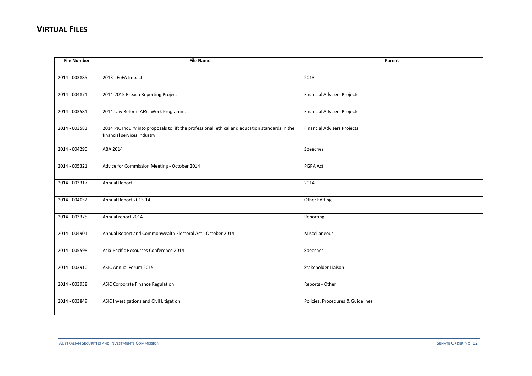| <b>File Number</b> | <b>File Name</b>                                                                                                                | Parent                             |
|--------------------|---------------------------------------------------------------------------------------------------------------------------------|------------------------------------|
|                    |                                                                                                                                 |                                    |
| 2014 - 003885      | 2013 - FoFA Impact                                                                                                              | 2013                               |
|                    |                                                                                                                                 |                                    |
| 2014 - 004871      | 2014-2015 Breach Reporting Project                                                                                              | <b>Financial Advisers Projects</b> |
|                    |                                                                                                                                 |                                    |
| 2014 - 003581      | 2014 Law Reform AFSL Work Programme                                                                                             | <b>Financial Advisers Projects</b> |
|                    |                                                                                                                                 |                                    |
| 2014 - 003583      | 2014 PJC Inquiry into proposals to lift the professional, ethical and education standards in the<br>financial services industry | <b>Financial Advisers Projects</b> |
|                    |                                                                                                                                 |                                    |
| 2014 - 004290      | ABA 2014                                                                                                                        | Speeches                           |
|                    |                                                                                                                                 |                                    |
| 2014 - 005321      | Advice for Commission Meeting - October 2014                                                                                    | PGPA Act                           |
|                    |                                                                                                                                 |                                    |
| 2014 - 003317      | Annual Report                                                                                                                   | 2014                               |
|                    |                                                                                                                                 |                                    |
| 2014 - 004052      | Annual Report 2013-14                                                                                                           | <b>Other Editing</b>               |
|                    |                                                                                                                                 |                                    |
| 2014 - 003375      | Annual report 2014                                                                                                              | Reporting                          |
|                    |                                                                                                                                 |                                    |
| 2014 - 004901      | Annual Report and Commonwealth Electoral Act - October 2014                                                                     | Miscellaneous                      |
| 2014 - 005598      | Asia-Pacific Resources Conference 2014                                                                                          | Speeches                           |
|                    |                                                                                                                                 |                                    |
| 2014 - 003910      | ASIC Annual Forum 2015                                                                                                          | Stakeholder Liaison                |
|                    |                                                                                                                                 |                                    |
| 2014 - 003938      | <b>ASIC Corporate Finance Regulation</b>                                                                                        | Reports - Other                    |
|                    |                                                                                                                                 |                                    |
| 2014 - 003849      | ASIC Investigations and Civil Litigation                                                                                        | Policies, Procedures & Guidelines  |
|                    |                                                                                                                                 |                                    |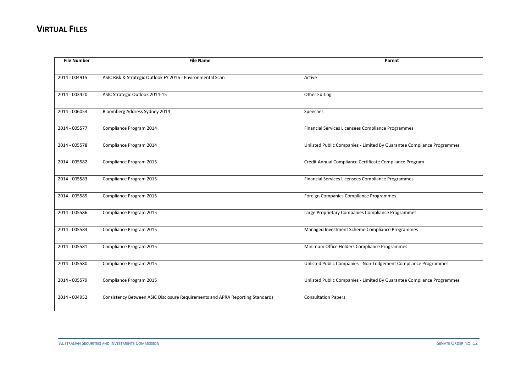| <b>File Number</b> | <b>File Name</b>                                                              | Parent                                                                 |
|--------------------|-------------------------------------------------------------------------------|------------------------------------------------------------------------|
|                    |                                                                               |                                                                        |
| 2014 - 004915      | ASIC Risk & Strategic Outlook FY 2016 - Environmental Scan                    | Active                                                                 |
|                    |                                                                               |                                                                        |
| 2014 - 003420      | ASIC Strategic Outlook 2014-15                                                | <b>Other Editing</b>                                                   |
|                    |                                                                               |                                                                        |
| 2014 - 006053      | Bloomberg Address Sydney 2014                                                 | Speeches                                                               |
|                    |                                                                               |                                                                        |
| 2014 - 005577      | Compliance Program 2014                                                       | Financial Services Licensees Compliance Programmes                     |
|                    |                                                                               |                                                                        |
| 2014 - 005578      | Compliance Program 2014                                                       | Unlisted Public Companies - Limited By Guarantee Compliance Programmes |
|                    |                                                                               |                                                                        |
| 2014 - 005582      | Compliance Program 2015                                                       | Credit Annual Compliance Certificate Compliance Program                |
|                    |                                                                               |                                                                        |
| 2014 - 005583      | Compliance Program 2015                                                       | Financial Services Licensees Compliance Programmes                     |
|                    |                                                                               |                                                                        |
| 2014 - 005585      | Compliance Program 2015                                                       | Foreign Companies Compliance Programmes                                |
|                    |                                                                               |                                                                        |
| 2014 - 005586      | Compliance Program 2015                                                       | Large Proprietary Companies Compliance Programmes                      |
|                    |                                                                               |                                                                        |
| 2014 - 005584      | Compliance Program 2015                                                       | Managed Investment Scheme Compliance Programmes                        |
| 2014 - 005581      | Compliance Program 2015                                                       | Minimum Office Holders Compliance Programmes                           |
|                    |                                                                               |                                                                        |
| 2014 - 005580      | Compliance Program 2015                                                       | Unlisted Public Companies - Non-Lodgement Compliance Programmes        |
|                    |                                                                               |                                                                        |
| 2014 - 005579      | Compliance Program 2015                                                       | Unlisted Public Companies - Limited By Guarantee Compliance Programmes |
|                    |                                                                               |                                                                        |
| 2014 - 004952      | Consistency Between ASIC Disclosure Requirements and APRA Reporting Standards | <b>Consultation Papers</b>                                             |
|                    |                                                                               |                                                                        |
|                    |                                                                               |                                                                        |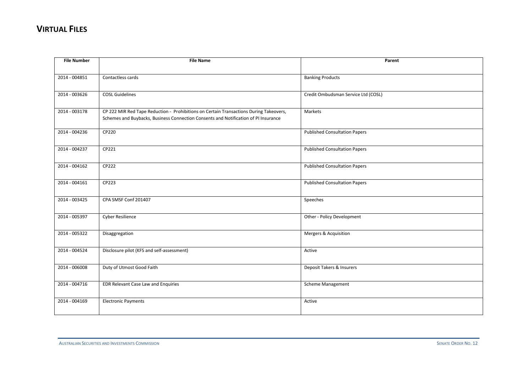| <b>File Number</b> | <b>File Name</b>                                                                       | Parent                               |
|--------------------|----------------------------------------------------------------------------------------|--------------------------------------|
|                    |                                                                                        |                                      |
| 2014 - 004851      | Contactless cards                                                                      | <b>Banking Products</b>              |
|                    |                                                                                        |                                      |
| 2014 - 003626      | <b>COSL Guidelines</b>                                                                 | Credit Ombudsman Service Ltd (COSL)  |
|                    |                                                                                        |                                      |
| 2014 - 003178      | CP 222 MIR Red Tape Reduction - Prohibitions on Certain Transactions During Takeovers, | Markets                              |
|                    | Schemes and Buybacks, Business Connection Consents and Notification of PI Insurance    |                                      |
| 2014 - 004236      | CP220                                                                                  | <b>Published Consultation Papers</b> |
|                    |                                                                                        |                                      |
| 2014 - 004237      | CP221                                                                                  | <b>Published Consultation Papers</b> |
|                    |                                                                                        |                                      |
| 2014 - 004162      | CP222                                                                                  | <b>Published Consultation Papers</b> |
|                    |                                                                                        |                                      |
| 2014 - 004161      | CP223                                                                                  | <b>Published Consultation Papers</b> |
|                    |                                                                                        |                                      |
| 2014 - 003425      | CPA SMSF Conf 201407                                                                   | Speeches                             |
| 2014 - 005397      | <b>Cyber Resilience</b>                                                                | Other - Policy Development           |
|                    |                                                                                        |                                      |
| 2014 - 005322      | Disaggregation                                                                         | Mergers & Acquisition                |
|                    |                                                                                        |                                      |
| 2014 - 004524      | Disclosure pilot (KFS and self-assessment)                                             | Active                               |
|                    |                                                                                        |                                      |
| 2014 - 006008      | Duty of Utmost Good Faith                                                              | Deposit Takers & Insurers            |
|                    |                                                                                        |                                      |
| 2014 - 004716      | EDR Relevant Case Law and Enquiries                                                    | <b>Scheme Management</b>             |
|                    |                                                                                        |                                      |
| 2014 - 004169      | <b>Electronic Payments</b>                                                             | Active                               |
|                    |                                                                                        |                                      |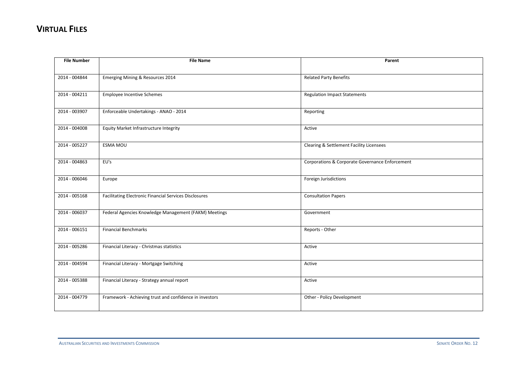| <b>File Number</b> | <b>File Name</b>                                              | Parent                                          |
|--------------------|---------------------------------------------------------------|-------------------------------------------------|
|                    |                                                               |                                                 |
| 2014 - 004844      | Emerging Mining & Resources 2014                              | <b>Related Party Benefits</b>                   |
|                    |                                                               |                                                 |
| 2014 - 004211      | <b>Employee Incentive Schemes</b>                             | <b>Regulation Impact Statements</b>             |
|                    |                                                               |                                                 |
| 2014 - 003907      | Enforceable Undertakings - ANAO - 2014                        | Reporting                                       |
| 2014 - 004008      | Equity Market Infrastructure Integrity                        | Active                                          |
|                    |                                                               |                                                 |
| 2014 - 005227      | ESMA MOU                                                      | Clearing & Settlement Facility Licensees        |
|                    |                                                               |                                                 |
| 2014 - 004863      | EU's                                                          | Corporations & Corporate Governance Enforcement |
|                    |                                                               |                                                 |
| 2014 - 006046      | Europe                                                        | Foreign Jurisdictions                           |
|                    |                                                               |                                                 |
| 2014 - 005168      | <b>Facilitating Electronic Financial Services Disclosures</b> | <b>Consultation Papers</b>                      |
| 2014 - 006037      | Federal Agencies Knowledge Management (FAKM) Meetings         | Government                                      |
|                    |                                                               |                                                 |
| 2014 - 006151      | <b>Financial Benchmarks</b>                                   | Reports - Other                                 |
|                    |                                                               |                                                 |
| 2014 - 005286      | Financial Literacy - Christmas statistics                     | Active                                          |
|                    |                                                               |                                                 |
| 2014 - 004594      | Financial Literacy - Mortgage Switching                       | Active                                          |
|                    |                                                               |                                                 |
| 2014 - 005388      | Financial Literacy - Strategy annual report                   | Active                                          |
| 2014 - 004779      | Framework - Achieving trust and confidence in investors       | Other - Policy Development                      |
|                    |                                                               |                                                 |
|                    |                                                               |                                                 |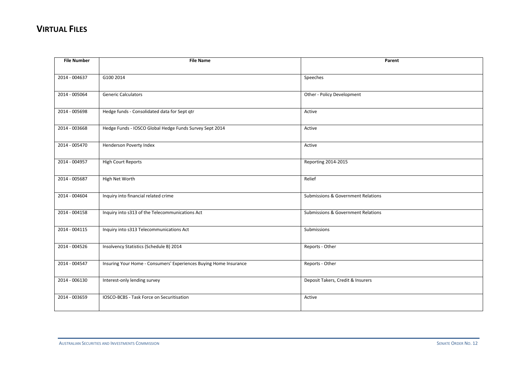| <b>File Number</b> | <b>File Name</b>                                                  | Parent                             |
|--------------------|-------------------------------------------------------------------|------------------------------------|
|                    |                                                                   |                                    |
| 2014 - 004637      | G100 2014                                                         | Speeches                           |
|                    |                                                                   |                                    |
| 2014 - 005064      | <b>Generic Calculators</b>                                        | Other - Policy Development         |
|                    |                                                                   |                                    |
| 2014 - 005698      | Hedge funds - Consolidated data for Sept qtr                      | Active                             |
|                    |                                                                   |                                    |
| 2014 - 003668      | Hedge Funds - IOSCO Global Hedge Funds Survey Sept 2014           | Active                             |
|                    |                                                                   |                                    |
| 2014 - 005470      | Henderson Poverty Index                                           | Active                             |
|                    |                                                                   |                                    |
| 2014 - 004957      | <b>High Court Reports</b>                                         | Reporting 2014-2015                |
| 2014 - 005687      | High Net Worth                                                    | Relief                             |
|                    |                                                                   |                                    |
| 2014 - 004604      | Inquiry into financial related crime                              | Submissions & Government Relations |
|                    |                                                                   |                                    |
| 2014 - 004158      | Inquiry into s313 of the Telecommunications Act                   | Submissions & Government Relations |
|                    |                                                                   |                                    |
| 2014 - 004115      | Inquiry into s313 Telecommunications Act                          | Submissions                        |
|                    |                                                                   |                                    |
| 2014 - 004526      | Insolvency Statistics (Schedule B) 2014                           | Reports - Other                    |
|                    |                                                                   |                                    |
| 2014 - 004547      | Insuring Your Home - Consumers' Experiences Buying Home Insurance | Reports - Other                    |
|                    |                                                                   |                                    |
| 2014 - 006130      | Interest-only lending survey                                      | Deposit Takers, Credit & Insurers  |
|                    |                                                                   |                                    |
| 2014 - 003659      | IOSCO-BCBS - Task Force on Securitisation                         | Active                             |
|                    |                                                                   |                                    |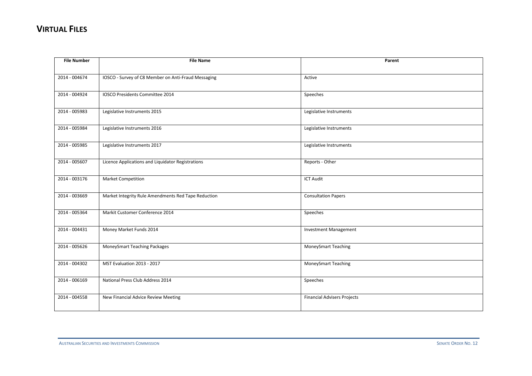| <b>File Number</b> | <b>File Name</b>                                    | Parent                             |
|--------------------|-----------------------------------------------------|------------------------------------|
|                    |                                                     |                                    |
| 2014 - 004674      | IOSCO - Survey of C8 Member on Anti-Fraud Messaging | Active                             |
|                    |                                                     |                                    |
| 2014 - 004924      | IOSCO Presidents Committee 2014                     | Speeches                           |
|                    |                                                     |                                    |
| 2014 - 005983      | Legislative Instruments 2015                        | Legislative Instruments            |
|                    |                                                     |                                    |
| 2014 - 005984      | Legislative Instruments 2016                        | Legislative Instruments            |
|                    |                                                     |                                    |
| 2014 - 005985      | Legislative Instruments 2017                        | Legislative Instruments            |
|                    |                                                     |                                    |
| 2014 - 005607      | Licence Applications and Liquidator Registrations   | Reports - Other                    |
|                    |                                                     |                                    |
| 2014 - 003176      | <b>Market Competition</b>                           | <b>ICT Audit</b>                   |
|                    |                                                     |                                    |
| 2014 - 003669      | Market Integrity Rule Amendments Red Tape Reduction | <b>Consultation Papers</b>         |
|                    |                                                     |                                    |
| 2014 - 005364      | Markit Customer Conference 2014                     | Speeches                           |
|                    |                                                     |                                    |
| 2014 - 004431      | Money Market Funds 2014                             | <b>Investment Management</b>       |
|                    |                                                     |                                    |
| 2014 - 005626      | MoneySmart Teaching Packages                        | MoneySmart Teaching                |
|                    |                                                     |                                    |
| 2014 - 004302      | MST Evaluation 2013 - 2017                          | <b>MoneySmart Teaching</b>         |
|                    |                                                     |                                    |
| 2014 - 006169      | National Press Club Address 2014                    | Speeches                           |
|                    |                                                     |                                    |
| 2014 - 004558      | New Financial Advice Review Meeting                 | <b>Financial Advisers Projects</b> |
|                    |                                                     |                                    |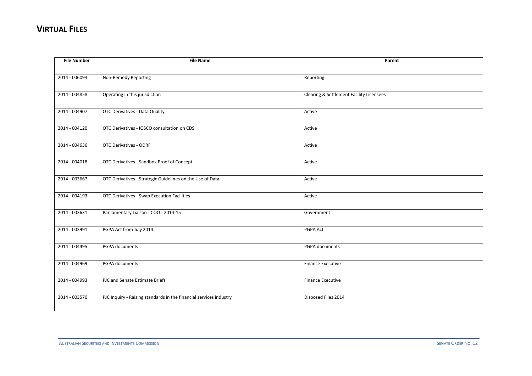| <b>File Number</b> | <b>File Name</b>                                                   | Parent                                   |
|--------------------|--------------------------------------------------------------------|------------------------------------------|
|                    |                                                                    |                                          |
| 2014 - 006094      | Non-Remedy Reporting                                               | Reporting                                |
|                    |                                                                    |                                          |
| 2014 - 004858      | Operating in this jurisdiction                                     | Clearing & Settlement Facility Licensees |
|                    |                                                                    |                                          |
| 2014 - 004907      | OTC Derivatives - Data Quality                                     | Active                                   |
|                    |                                                                    |                                          |
| 2014 - 004120      | OTC Derivatives - IOSCO consultation on CDS                        | Active                                   |
|                    |                                                                    |                                          |
| 2014 - 004636      | <b>OTC Derivatives - ODRF</b>                                      | Active                                   |
|                    |                                                                    |                                          |
| 2014 - 004018      | OTC Derivatives - Sandbox Proof of Concept                         | Active                                   |
| 2014 - 003667      | OTC Derivatives - Strategic Guidelines on the Use of Data          | Active                                   |
|                    |                                                                    |                                          |
| 2014 - 004193      | <b>OTC Derivatives - Swap Execution Facilities</b>                 | Active                                   |
|                    |                                                                    |                                          |
| 2014 - 003631      | Parliamentary Liaison - COO - 2014-15                              | Government                               |
|                    |                                                                    |                                          |
| 2014 - 003991      | PGPA Act from July 2014                                            | PGPA Act                                 |
|                    |                                                                    |                                          |
| 2014 - 004495      | PGPA documents                                                     | PGPA documents                           |
|                    |                                                                    |                                          |
| 2014 - 004969      | PGPA documents                                                     | <b>Finance Executive</b>                 |
|                    |                                                                    |                                          |
| 2014 - 004993      | PJC and Senate Estimate Briefs                                     | Finance Executive                        |
|                    |                                                                    |                                          |
| 2014 - 003570      | PJC Inquiry - Raising standards in the financial services industry | Disposed Files 2014                      |
|                    |                                                                    |                                          |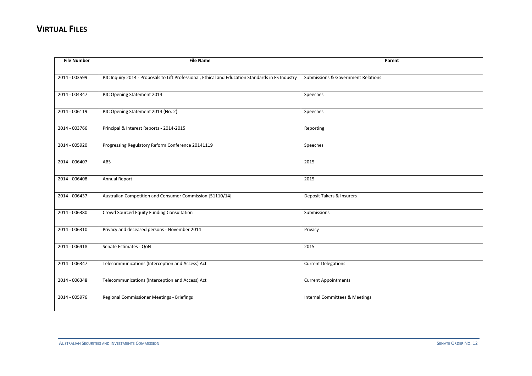| <b>File Number</b> | <b>File Name</b>                                                                                  | Parent                                        |
|--------------------|---------------------------------------------------------------------------------------------------|-----------------------------------------------|
|                    |                                                                                                   |                                               |
| 2014 - 003599      | PJC Inquiry 2014 - Proposals to Lift Professional, Ethical and Education Standards in FS Industry | <b>Submissions &amp; Government Relations</b> |
|                    |                                                                                                   |                                               |
| 2014 - 004347      | PJC Opening Statement 2014                                                                        | Speeches                                      |
| 2014 - 006119      | PJC Opening Statement 2014 (No. 2)                                                                | Speeches                                      |
|                    |                                                                                                   |                                               |
| 2014 - 003766      | Principal & Interest Reports - 2014-2015                                                          | Reporting                                     |
|                    |                                                                                                   |                                               |
| 2014 - 005920      | Progressing Regulatory Reform Conference 20141119                                                 | Speeches                                      |
|                    |                                                                                                   |                                               |
| 2014 - 006407      | ABS                                                                                               | 2015                                          |
| 2014 - 006408      | Annual Report                                                                                     | 2015                                          |
|                    |                                                                                                   |                                               |
| 2014 - 006437      | Australian Competition and Consumer Commission [51110/14]                                         | Deposit Takers & Insurers                     |
|                    |                                                                                                   |                                               |
| 2014 - 006380      | Crowd Sourced Equity Funding Consultation                                                         | Submissions                                   |
|                    |                                                                                                   |                                               |
| 2014 - 006310      | Privacy and deceased persons - November 2014                                                      | Privacy                                       |
| 2014 - 006418      | Senate Estimates - QoN                                                                            | 2015                                          |
|                    |                                                                                                   |                                               |
| 2014 - 006347      | Telecommunications (Interception and Access) Act                                                  | <b>Current Delegations</b>                    |
|                    |                                                                                                   |                                               |
| 2014 - 006348      | Telecommunications (Interception and Access) Act                                                  | <b>Current Appointments</b>                   |
|                    |                                                                                                   |                                               |
| 2014 - 005976      | Regional Commissioner Meetings - Briefings                                                        | Internal Committees & Meetings                |
|                    |                                                                                                   |                                               |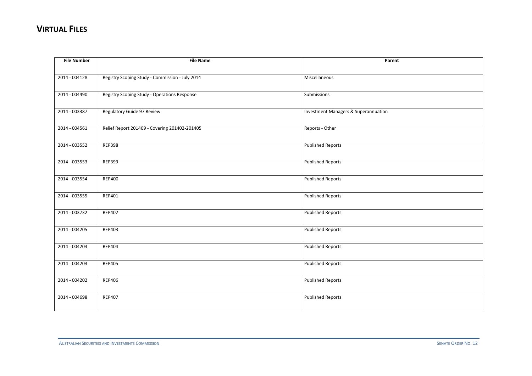| <b>File Number</b> | <b>File Name</b>                                | Parent                               |
|--------------------|-------------------------------------------------|--------------------------------------|
|                    |                                                 |                                      |
| 2014 - 004128      | Registry Scoping Study - Commission - July 2014 | Miscellaneous                        |
|                    |                                                 |                                      |
| 2014 - 004490      | Registry Scoping Study - Operations Response    | Submissions                          |
|                    |                                                 |                                      |
| 2014 - 003387      | Regulatory Guide 97 Review                      | Investment Managers & Superannuation |
|                    |                                                 |                                      |
| 2014 - 004561      | Relief Report 201409 - Covering 201402-201405   | Reports - Other                      |
|                    |                                                 |                                      |
| 2014 - 003552      | <b>REP398</b>                                   | <b>Published Reports</b>             |
|                    |                                                 |                                      |
| 2014 - 003553      | <b>REP399</b>                                   | <b>Published Reports</b>             |
|                    |                                                 |                                      |
| 2014 - 003554      | <b>REP400</b>                                   | <b>Published Reports</b>             |
|                    |                                                 |                                      |
| 2014 - 003555      | REP401                                          | <b>Published Reports</b>             |
|                    |                                                 |                                      |
| 2014 - 003732      | <b>REP402</b>                                   | <b>Published Reports</b>             |
|                    |                                                 |                                      |
| 2014 - 004205      | <b>REP403</b>                                   | <b>Published Reports</b>             |
|                    |                                                 |                                      |
| 2014 - 004204      | <b>REP404</b>                                   | <b>Published Reports</b>             |
|                    |                                                 |                                      |
| 2014 - 004203      | <b>REP405</b>                                   | <b>Published Reports</b>             |
|                    |                                                 |                                      |
| 2014 - 004202      | <b>REP406</b>                                   | <b>Published Reports</b>             |
|                    |                                                 |                                      |
| 2014 - 004698      | <b>REP407</b>                                   | <b>Published Reports</b>             |
|                    |                                                 |                                      |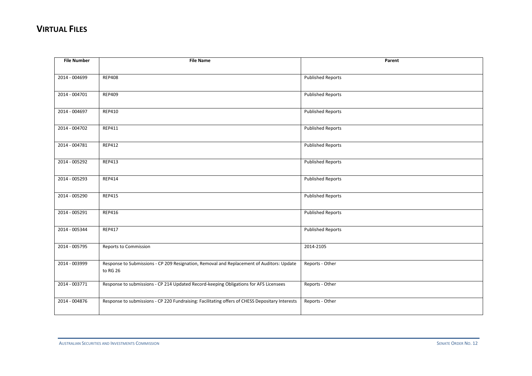| <b>File Number</b> | <b>File Name</b>                                                                                | Parent                   |
|--------------------|-------------------------------------------------------------------------------------------------|--------------------------|
|                    |                                                                                                 |                          |
| 2014 - 004699      | <b>REP408</b>                                                                                   | <b>Published Reports</b> |
|                    |                                                                                                 |                          |
| 2014 - 004701      | <b>REP409</b>                                                                                   | <b>Published Reports</b> |
|                    |                                                                                                 |                          |
| 2014 - 004697      | <b>REP410</b>                                                                                   | <b>Published Reports</b> |
|                    |                                                                                                 |                          |
| 2014 - 004702      | <b>REP411</b>                                                                                   | <b>Published Reports</b> |
|                    |                                                                                                 |                          |
| 2014 - 004781      | <b>REP412</b>                                                                                   | <b>Published Reports</b> |
|                    |                                                                                                 |                          |
| 2014 - 005292      | <b>REP413</b>                                                                                   | <b>Published Reports</b> |
|                    |                                                                                                 |                          |
| 2014 - 005293      | <b>REP414</b>                                                                                   | <b>Published Reports</b> |
|                    |                                                                                                 |                          |
| 2014 - 005290      | <b>REP415</b>                                                                                   | <b>Published Reports</b> |
|                    |                                                                                                 |                          |
| 2014 - 005291      | <b>REP416</b>                                                                                   | <b>Published Reports</b> |
|                    |                                                                                                 |                          |
| 2014 - 005344      | <b>REP417</b>                                                                                   | <b>Published Reports</b> |
|                    |                                                                                                 |                          |
| 2014 - 005795      | Reports to Commission                                                                           | 2014-2105                |
|                    |                                                                                                 |                          |
| 2014 - 003999      | Response to Submissions - CP 209 Resignation, Removal and Replacement of Auditors: Update       | Reports - Other          |
|                    | to RG 26                                                                                        |                          |
| 2014 - 003771      | Response to submissions - CP 214 Updated Record-keeping Obligations for AFS Licensees           | Reports - Other          |
|                    |                                                                                                 |                          |
| 2014 - 004876      | Response to submissions - CP 220 Fundraising: Facilitating offers of CHESS Depositary Interests | Reports - Other          |
|                    |                                                                                                 |                          |
|                    |                                                                                                 |                          |